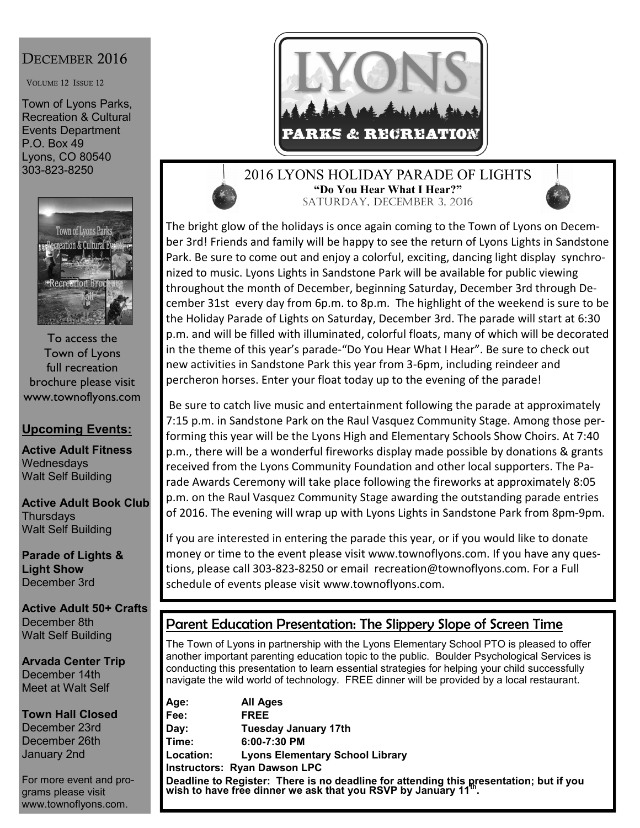# DECEMBER 2016

VOLUME 12 ISSUE 12

Town of Lyons Parks, Recreation & Cultural Events Department P.O. Box 49 Lyons, CO 80540 303-823-8250



To access the Town of Lyons full recreation brochure please visit www.townoflyons.com

## **Upcoming Events:**

**Active Adult Fitness Wednesdays** Walt Self Building

**Active Adult Book Club Thursdays** Walt Self Building

**Parade of Lights & Light Show**  December 3rd

**Active Adult 50+ Crafts** December 8th Walt Self Building

**Arvada Center Trip** December 14th Meet at Walt Self

**Town Hall Closed** December 23rd December 26th January 2nd

For more event and programs please visit www.townoflyons.com.



### 2016 LYONS HOLIDAY PARADE OF LIGHTS **"Do You Hear What I Hear?"** SATURDAY, DECEMBER 3, 2016

The bright glow of the holidays is once again coming to the Town of Lyons on December 3rd! Friends and family will be happy to see the return of Lyons Lights in Sandstone Park. Be sure to come out and enjoy a colorful, exciting, dancing light display synchronized to music. Lyons Lights in Sandstone Park will be available for public viewing throughout the month of December, beginning Saturday, December 3rd through December 31st every day from 6p.m. to 8p.m. The highlight of the weekend is sure to be the Holiday Parade of Lights on Saturday, December 3rd. The parade will start at 6:30 p.m. and will be filled with illuminated, colorful floats, many of which will be decorated in the theme of this year's parade‐"Do You Hear What I Hear". Be sure to check out new activities in Sandstone Park this year from 3-6pm, including reindeer and percheron horses. Enter your float today up to the evening of the parade!

Be sure to catch live music and entertainment following the parade at approximately 7:15 p.m. in Sandstone Park on the Raul Vasquez Community Stage. Among those performing this year will be the Lyons High and Elementary Schools Show Choirs. At 7:40 p.m., there will be a wonderful fireworks display made possible by donations & grants received from the Lyons Community Foundation and other local supporters. The Parade Awards Ceremony will take place following the fireworks at approximately 8:05 p.m. on the Raul Vasquez Community Stage awarding the outstanding parade entries of 2016. The evening will wrap up with Lyons Lights in Sandstone Park from 8pm‐9pm.

If you are interested in entering the parade this year, or if you would like to donate money or time to the event please visit www.townoflyons.com. If you have any questions, please call 303‐823‐8250 or email recreation@townoflyons.com. For a Full schedule of events please visit www.townoflyons.com.

# Parent Education Presentation: The Slippery Slope of Screen Time

The Town of Lyons in partnership with the Lyons Elementary School PTO is pleased to offer another important parenting education topic to the public. Boulder Psychological Services is conducting this presentation to learn essential strategies for helping your child successfully navigate the wild world of technology. FREE dinner will be provided by a local restaurant.

**Age: All Ages Fee: FREE Day: Tuesday January 17th Time: 6:00-7:30 PM Location: Lyons Elementary School Library Instructors: Ryan Dawson LPC Deadline to Register: There is no deadline for attending this presentation; but if you wish to have free dinner we ask that you RSVP by January 11th .**